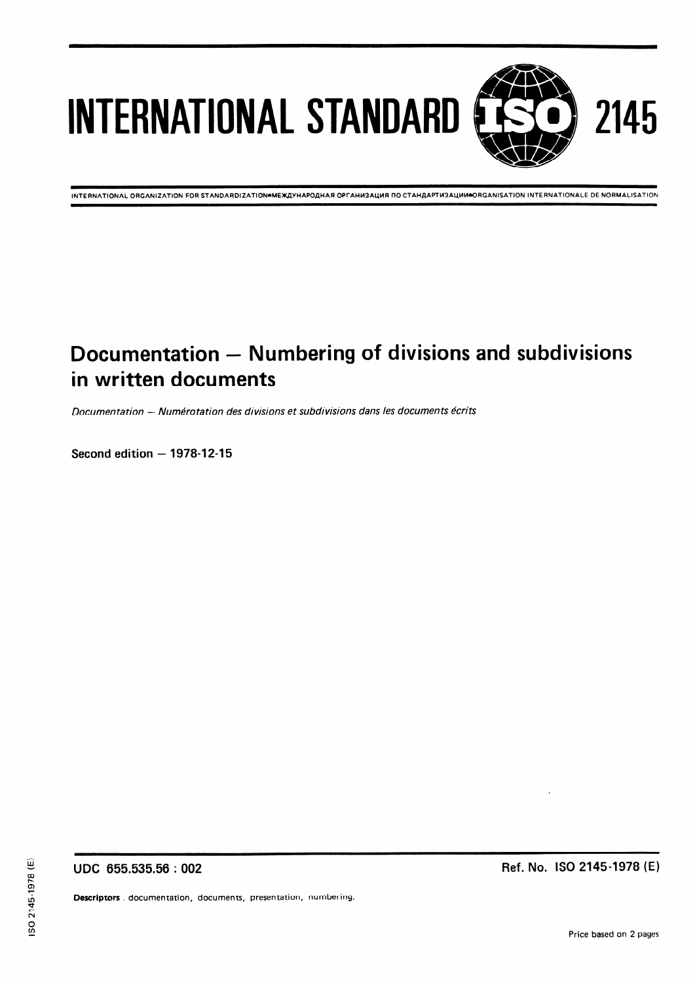# INTERNATIONAL STANDARD **EESSED** 2145

**INTERNATIONAL ORGANIZATION FOR STANDARDIZATION●MEЖДУНАРОДНАЯ ОРГАНИЗАЦИЯ ПО СТАНДАРТИЗАЦИИ●ORGANISATION INTERNATIONALE DE NORMALISATION** 

# Documentation - Numbering of divisions and subdivisions in written documents

Documentation -- Numérotation des divisions et subdivisions dans les documents écrits

Second edition – 1978-12-15h STANDARD PREVIEW (standards.iteh.ai)

> ISO 2145:1978 https://standards.iteh.ai/catalog/standards/sist/6e3da853-1428-4967-8544 eadb06885a6d/iso-2145-1978

UDC 655.535.56 : 002

Ref. No. ISO 2145-1978 (E)

Descriptors . documentation, documents, presentation, numbering.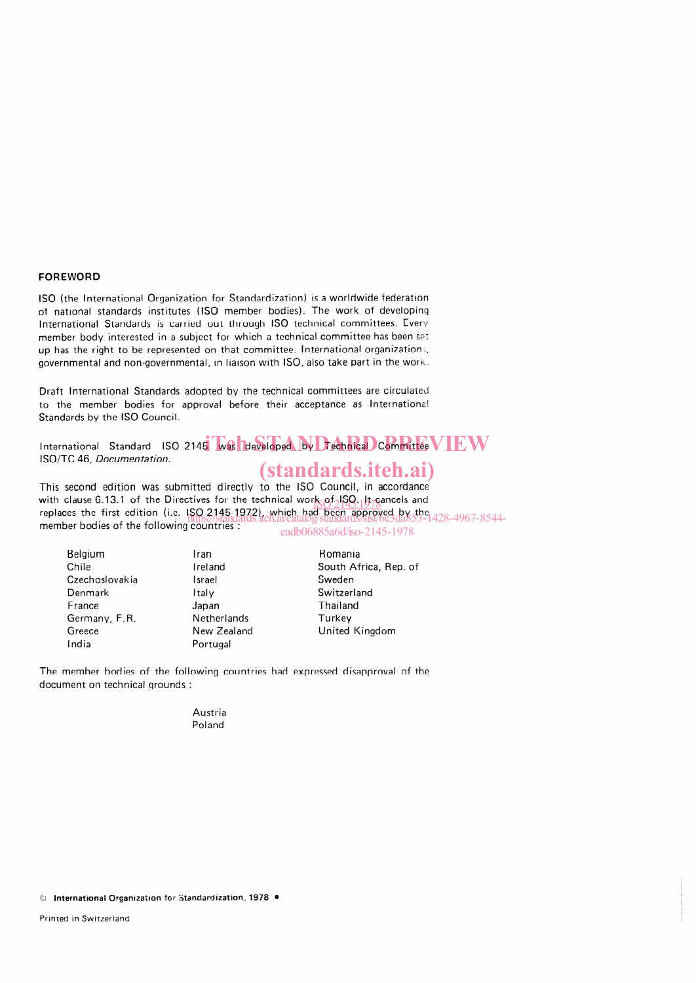#### FOREWORD

ISO (the International Organization for Standardization) is a worldwide federation of national standards institutes (ISO member bodies). The work of developing International Standards is carried out through ISO technical committees. Every member body interested in a subject for which a technical committee has been set up has the right to be represented on that committee. International organizations, governmental and non-governmental, in liaison with ISO, also take part in the work.

Draft International Standards adopted by the technical committees are circulated to the member bodies for approval before their acceptance as International Standards by the ISO Council.

International Standard ISO 2145 was developed by Technical Committee  $VEW$ ISO/TC 46, Documentation.

## (standards.iteh.ai)

This second edition was submitted directly to the ISO Council, in accordance with clause 6.13.1 of the Directives for the technical work  $\rho_1$  |  $\rho_2$  |  $\mu_3$  cancels and with clause 6.13.1 of the Directives for the technical work  $\frac{\partial^2 [3Q_1]}{\partial \gamma}$  if cancels and<br>replaces the first edition (i.e. ISO 2145-1972), which had been approved by the member bodies of the following countries https://standards.iteh.ai/catalog/standards/sist/6e3da853-1428-4967-8544-  $245 - 1978$ 

|  |  |  |  | eagduo885a0g/iso-2145-19 |  |
|--|--|--|--|--------------------------|--|
|  |  |  |  |                          |  |

| Belaium        |  |  |
|----------------|--|--|
| Chile          |  |  |
| Czechoslovakia |  |  |
| Denmark        |  |  |
| France         |  |  |
| Germany, F.R.  |  |  |
| Greece         |  |  |
| India          |  |  |

Ireland Israel Italy Japan Netherlands New Zealand Portugal

Iran

Romania South Africa, Rep. of Sweden Switzerland Thailand **Turkey** United Kingdom

The member bodies of the following countries had expressed disapproval of the document on technical grounds

> Austria Poland

© International Organization for Standardization, 1978 ·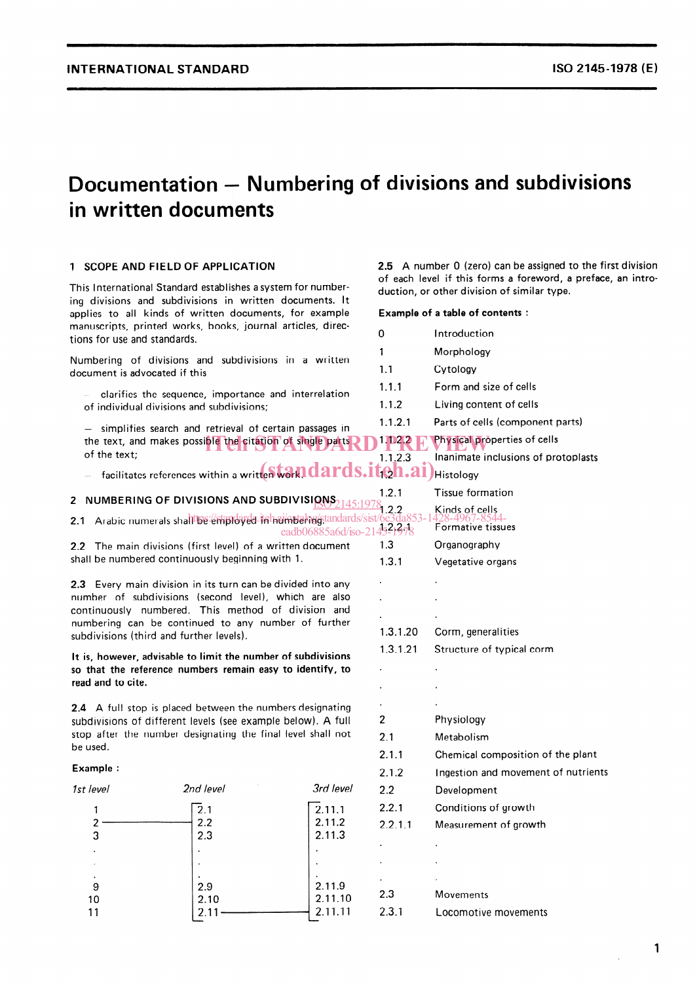## Documentation – Numbering of divisions and subdivisions in written documents

## 1 SCOPE AND FIELD OF APPLICATION

This International Standard establishes a system for numbering divisions and subdivisions in written documents. lt applies to all kinds of written documents, for example manuscripts, printed works, books, journal articles, directions for use and standards.

Numbering of divisions and subdivisions in a written document is advocated if this

clarifies the sequence, importance and interrelation of individual divisions and subdivisions;

- simplifies search and retrieval of certain passages in the text, and makes possible the citation of single parts **1.022 E. Physical proper**<br>of the text: of the text;

 $-$  facilitates references within a written wall ards.iteh.ai)

## 2  $\,$  NUMBERING OF DIVISIONS AND SUBDIVISI $\underline{\mathsf{RNS}}_{2145:1978}$

2.1 Arabic numerals shall be employed in huin bakagstandards/sist/6e3da853-1428-4967-8544eadb06885a6d/iso-21

2.2 The main divisions (first level) of a written document shall be numbered continuously beginning with 1.

2.3 Every main division in its turn can be divided into any number of subdivisions (second level), which are also continuously numbered. This method of division and numbering can be continued to any number of further subdivisions (third and further levels).

lt is, however, advisable to limit the number of subdivisions so that the reference numbers remain easy to identify, to read and to cite.

2.4 A full stop is placed between the numbers designating subdivisions of different levels (see example below). A full stop after the number designating the final level shall not be used.

#### Example :

| 1st level | 2nd level | 3rd level           |
|-----------|-----------|---------------------|
|           | 2.1       | $\overline{2.11.1}$ |
|           | 2.2       | 2.11.2              |
| 3         | 2.3       | 2.11.3              |
|           |           |                     |
|           |           |                     |
| ٠         |           |                     |
| 9         | 2.9       | 2.11.9              |
| 10        | 2.10      | 2.11.10             |
|           |           | 2.11.11             |
|           |           |                     |

2.5 A number 0 (zero) can be assigned to the first division of each level if this forms a foreword, a preface, an introduction, or other division of similar type.

Example of a table of contents :

| 0            | Introduction                        |
|--------------|-------------------------------------|
| 1            | Morphology                          |
| 1.1          | Cytology                            |
| 1.1.1        | Form and size of cells              |
| 1.1.2        | Living content of cells             |
| 1.1.2.1      | Parts of cells (component parts)    |
| 111.2.2      | Physical properties of cells        |
| 1.1.2.3      | Inanimate inclusions of protoplasts |
| <u>іфп.:</u> | <b>Histology</b>                    |
| 1.2.1        | <b>T</b> issue formation            |
| 1.2.2        | Kinds of cells<br>128–1967–851      |
| 45-1978      | Formative tissues                   |
| 1.3          | Organography                        |
| 1.3.1        | Vegetative organs                   |
|              |                                     |
|              |                                     |
|              |                                     |
| 1.3.1.20     | Corm, generalities                  |
| 1.3.1.21     | Structure of typical corm           |
|              |                                     |
|              |                                     |
|              |                                     |
| 2            | Physiology                          |
| 2.1          | Metabolism                          |
| 2.1.1        | Chemical composition of the plant   |
| 2.1.2        | Ingestion and movement of nutrients |
| 2.2          | Development                         |
| 2.2.1        | Conditions of growth                |
| 2.2.1.1      | Measurement of growth               |
|              |                                     |
|              |                                     |
|              |                                     |
| 2.3          | Movements                           |
| 2.3.1        | Locomotive movements                |